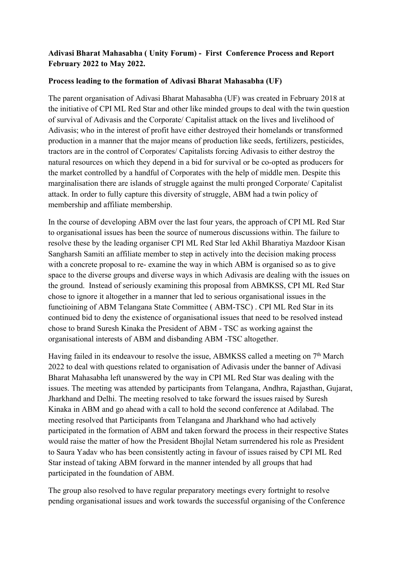### **Adivasi Bharat Mahasabha ( Unity Forum) - First Conference Process and Report February 2022 to May 2022.**

#### **Process leading to the formation of Adivasi Bharat Mahasabha (UF)**

The parent organisation of Adivasi Bharat Mahasabha (UF) was created in February 2018 at the initiative of CPI ML Red Star and other like minded groups to deal with the twin question of survival of Adivasis and the Corporate/ Capitalist attack on the lives and livelihood of Adivasis; who in the interest of profit have either destroyed their homelands or transformed production in a manner that the major means of production like seeds, fertilizers, pesticides, tractors are in the control of Corporates/ Capitalists forcing Adivasis to either destroy the natural resources on which they depend in a bid for survival or be co-opted as producers for the market controlled by a handful of Corporates with the help of middle men. Despite this marginalisation there are islands of struggle against the multi pronged Corporate/ Capitalist attack. In order to fully capture this diversity of struggle,ABM had a twin policy of membership and affiliate membership.

In the course of developing ABM over the last four years, the approach of CPI ML Red Star to organisational issues has been the source of numerous discussions within. The failure to resolve these by the leading organiser CPI ML Red Star led Akhil Bharatiya Mazdoor Kisan Sangharsh Samiti an affiliate member to step in actively into the decision making process with a concrete proposal to re- examine the way in which ABM is organised so as to give space to the diverse groups and diverse ways in which Adivasis are dealing with the issues on the ground. Instead of seriously examining this proposal from ABMKSS, CPI ML Red Star chose to ignore it altogether in a manner that led to serious organisational issues in the functioining of ABM Telangana State Committee ( ABM-TSC) . CPI ML Red Star in its continued bid to deny the existence of organisational issues that need to be resolved instead chose to brand Suresh Kinaka the President of ABM - TSC as working against the organisational interests of ABM and disbanding ABM -TSC altogether.

Having failed in its endeavour to resolve the issue, ABMKSS called a meeting on 7<sup>th</sup> March 2022 to deal with questions related to organisation of Adivasis under the banner of Adivasi Bharat Mahasabha left unanswered by the way in CPI ML Red Star was dealing with the issues. The meeting was attended by participants from Telangana, Andhra, Rajasthan, Gujarat, Jharkhand and Delhi. The meeting resolved to take forward the issues raised by Suresh Kinaka in ABM and go ahead with a call to hold the second conference at Adilabad. The meeting resolved that Participants from Telangana and Jharkhand who had actively participated in the formation of ABM and taken forward the process in their respective States would raise the matter of how the President Bhojlal Netam surrendered his role as President to Saura Yadav who has been consistently acting in favour of issues raised by CPI ML Red Star instead of taking ABM forward in the manner intended by all groups that had participated in the foundation of ABM.

The group also resolved to have regular preparatory meetings every fortnight to resolve pending organisational issues and work towards the successful organising of the Conference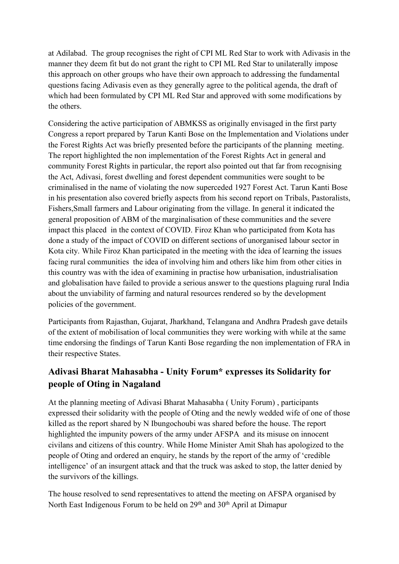at Adilabad. The group recognises the right of CPI ML Red Star to work with Adivasis in the manner they deem fit but do not grant the right to CPI ML Red Star to unilaterally impose this approach on other groups who have their own approach to addressing the fundamental questions facing Adivasis even as they generally agree to the political agenda, the draft of which had been formulated by CPI ML Red Star and approved with some modifications by the others.

Considering the active participation of ABMKSS as originally envisaged in the first party Congress a report prepared by Tarun Kanti Bose on the Implementation and Violations under the Forest Rights Act was briefly presented before the participants of the planning meeting. The report highlighted the non implementation of the Forest Rights Act in general and community Forest Rights in particular, the report also pointed out that far from recognising the Act, Adivasi, forest dwelling and forest dependent communities were sought to be criminalised in the name of violating the now superceded 1927 Forest Act.Tarun Kanti Bose in his presentation also covered briefly aspects from his second report on Tribals, Pastoralists, Fishers,Small farmers and Labour originating from the village. In general it indicated the general proposition of ABM of the marginalisation of these communities and the severe impact this placed in the context of COVID. Firoz Khan who participated from Kota has done a study of the impact of COVID on different sections of unorganised labour sector in Kota city. While Firoz Khan participated in the meeting with the idea of learning the issues facing rural communities the idea of involving him and others like him from other cities in this country was with the idea of examining in practise how urbanisation, industrialisation and globalisation have failed to provide a serious answer to the questions plaguing rural India about the unviability of farming and natural resources rendered so by the development policies of the government.

Participants from Rajasthan, Gujarat, Jharkhand, Telangana and Andhra Pradesh gave details of the extent of mobilisation of local communities they were working with while at the same time endorsing the findings of Tarun Kanti Bose regarding the non implementation of FRA in their respective States.

# **Adivasi Bharat Mahasabha - Unity Forum\* expresses its Solidarity for people of Oting in Nagaland**

At the planning meeting of Adivasi Bharat Mahasabha ( Unity Forum), participants expressed their solidarity with the people of Oting and the newly wedded wife of one of those killed as the report shared by N Ibungochoubi was shared before the house. The report highlighted the impunity powers of the army under AFSPA and its misuse on innocent civilans and citizens ofthis country. While Home Minister Amit Shah has apologized to the people of Oting and ordered an enquiry, he stands by the report of the army of 'credible intelligence' of an insurgent attack and that the truck was asked to stop, the latter denied by the survivors of the killings.

The house resolved to send representatives to attend the meeting on AFSPA organised by North East Indigenous Forum to be held on 29<sup>th</sup> and 30<sup>th</sup> April at Dimapur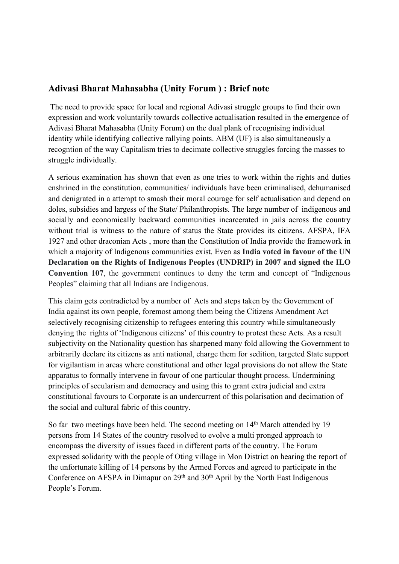## **Adivasi Bharat Mahasabha (Unity Forum ) : Brief note**

The need to provide space for local and regional Adivasi struggle groups to find their own expression and work voluntarily towards collective actualisation resulted in the emergence of Adivasi Bharat Mahasabha (Unity Forum) on the dual plank of recognising individual identity while identifying collective rallying points. ABM (UF) is also simultaneously a recogntion of the way Capitalism tries to decimate collective struggles forcing the masses to struggle individually.

A serious examination has shown that even as one tries to work within the rights and duties enshrined in the constitution, communities/ individuals have been criminalised, dehumanised and denigrated in a attempt to smash their moral courage for self actualisation and depend on doles, subsidies and largess of the State/ Philanthropists. The large number of indigenous and socially and economically backward communities incarcerated in jails across the country without trial is witness to the nature of status the State provides its citizens. AFSPA, IFA 1927 and other draconian Acts, more than the Constitution of India provide the framework in which a majority of Indigenous communities exist. Even as **India voted in favour ofthe UN Declaration on the Rights of Indigenous Peoples (UNDRIP) in 2007 and signed the ILO Convention 107**, the government continues to deny the term and concept of "Indigenous Peoples" claiming that all Indians are Indigenous.

This claim gets contradicted by a number of Acts and steps taken by the Government of India against its own people, foremost among them being the Citizens Amendment Act selectively recognising citizenship to refugees entering this country while simultaneously denying the rights of 'Indigenous citizens' of this country to protest these Acts. As a result subjectivity on the Nationality question has sharpened many fold allowing the Government to arbitrarily declare its citizens as anti national, charge them for sedition, targeted State support for vigilantism in areas where constitutional and other legal provisions do not allow the State apparatus to formally intervene in favour of one particular thought process. Undermining principles of secularism and democracy and using this to grant extra judicial and extra constitutional favours to Corporate is an undercurrent of this polarisation and decimation of the social and cultural fabric of this country.

So far two meetings have been held. The second meeting on 14<sup>th</sup> March attended by 19 persons from 14 States of the country resolved to evolve a multi pronged approach to encompass the diversity of issues faced in different parts of the country. The Forum expressed solidarity with the people of Oting village in Mon District on hearing the report of the unfortunate killing of 14 persons by the Armed Forces and agreed to participate in the Conference on AFSPA in Dimapur on  $29<sup>th</sup>$  and  $30<sup>th</sup>$  April by the North East Indigenous People's Forum.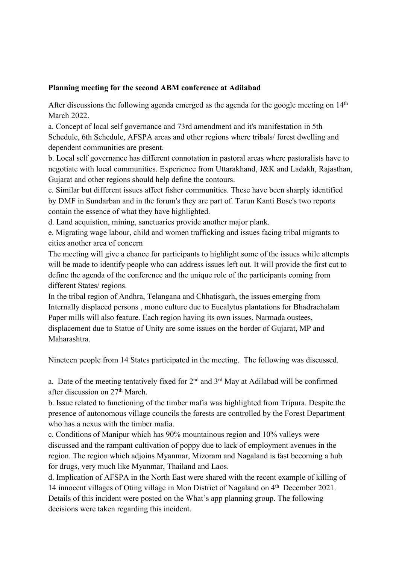#### **Planning meeting for the second ABM conference at Adilabad**

After discussions the following agenda emerged as the agenda for the google meeting on 14<sup>th</sup> th March 2022.

a. Concept of local self governance and 73rd amendment and it's manifestation in 5th Schedule, 6th Schedule, AFSPA areas and other regions where tribals/ forest dwelling and dependent communities are present.

b. Local self governance has different connotation in pastoral areas where pastoralists have to negotiate with local communities. Experience from Uttarakhand, J&K and Ladakh, Rajasthan, Gujarat and other regions should help define the contours.

c. Similar but different issues affect fisher communities. These have been sharply identified by DMF in Sundarban and in the forum's they are part of. Tarun Kanti Bose's two reports contain the essence of what they have highlighted.

d. Land acquistion, mining, sanctuaries provide another major plank.

e. Migrating wage labour, child and women trafficking and issues facing tribal migrants to cities another area of concern

The meeting will give a chance for participants to highlight some of the issues while attempts will be made to identify people who can address issues left out. It will provide the first cut to define the agenda of the conference and the unique role of the participants coming from different States/ regions.

In the tribal region of Andhra, Telangana and Chhatisgarh, the issues emerging from Internally displaced persons , mono culture due to Eucalytus plantations for Bhadrachalam Paper mills will also feature. Each region having its own issues. Narmada oustees, displacement due to Statue of Unity are some issues on the border of Gujarat, MP and Maharashtra.

Nineteen people from 14 States participated in the meeting. The following was discussed.

a. Date of the meeting tentatively fixed for  $2<sup>nd</sup>$  and  $3<sup>rd</sup>$  May at Adilabad will be confirmed after discussion on 27<sup>th</sup> March.

b. Issue related to functioning of the timber mafia was highlighted from Tripura. Despite the presence of autonomous village councils the forests are controlled by the Forest Department who has a nexus with the timber mafia.

c. Conditions of Manipur which has 90% mountainous region and 10% valleys were discussed and the rampant cultivation of poppy due to lack of employment avenues in the region. The region which adjoins Myanmar, Mizoram and Nagaland is fast becoming a hub for drugs, very much like Myanmar, Thailand and Laos.

d. Implication of AFSPA in the North East were shared with the recent example of killing of 14 innocent villages of Oting village in Mon District of Nagaland on 4<sup>th</sup> December 2021. Details of this incident were posted on the What's app planning group. The following decisions were taken regarding this incident.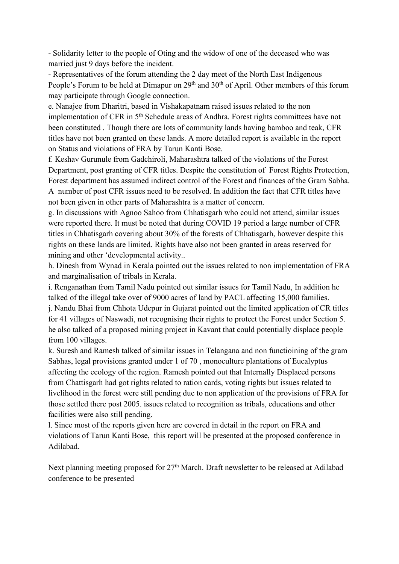- Solidarity letter to the people of Oting and the widow of one of the deceased who was married just 9 days before the incident.

- Representatives of the forum attending the 2 day meet of the North East Indigenous People's Forum to be held at Dimapur on 29<sup>th</sup> and 30<sup>th</sup> of April. Other members of this forum may participate through Google connection.

e. Nanajee from Dharitri, based in Vishakapatnam raised issues related to the non implementation of CFR in 5<sup>th</sup> Schedule areas of Andhra. Forest rights committees have not been constituted . Though there are lots of community lands having bamboo and teak, CFR titles have not been granted on these lands. A more detailed report is available in the report on Status and violations of FRA by Tarun Kanti Bose.

f. Keshav Gurunule from Gadchiroli, Maharashtra talked of the violations of the Forest Department, post granting of CFR titles. Despite the constitution of Forest Rights Protection, Forest department has assumed indirect control of the Forest and finances of the Gram Sabha. A number of post CFR issues need to be resolved. In addition the fact that CFR titles have not been given in other parts of Maharashtra is a matter of concern.

g. In discussions with Agnoo Sahoo from Chhatisgarh who could not attend, similar issues were reported there. It must be noted that during COVID 19 period a large number of CFR titles in Chhatisgarh covering about 30% of the forests ofChhatisgarh, however despite this rights on these lands are limited. Rights have also not been granted in areas reserved for mining and other 'developmental activity..

h. Dinesh from Wynad in Kerala pointed out the issues related to non implementation of FRA and marginalisation of tribals in Kerala.

i. Renganathan from Tamil Nadu pointed out similar issues for Tamil Nadu, In addition he talked of the illegal take over of 9000 acres of land by PACL affecting 15,000 families. j. Nandu Bhai from Chhota Udepur in Gujarat pointed out the limited application of CR titles for 41 villages of Naswadi, not recognising their rights to protect the Forest under Section 5. he also talked of a proposed mining project in Kavant that could potentially displace people from 100 villages.

k. Suresh and Ramesh talked of similar issues in Telangana and non functioining of the gram Sabhas, legal provisions granted under 1 of 70, monoculture plantations of Eucalyptus affecting the ecology of the region. Ramesh pointed out that Internally Displaced persons from Chattisgarh had got rights related to ration cards, voting rights but issues related to livelihood in the forest were still pending due to non application of the provisions of FRA for those settled there post 2005. issues related to recognition as tribals, educations and other facilities were also still pending.

l. Since most of the reports given here are covered in detail in the report on FRA and violations ofTarun Kanti Bose, this report will be presented at the proposed conference in Adilabad.

Next planning meeting proposed for 27 th March. Draft newsletter to be released at Adilabad conference to be presented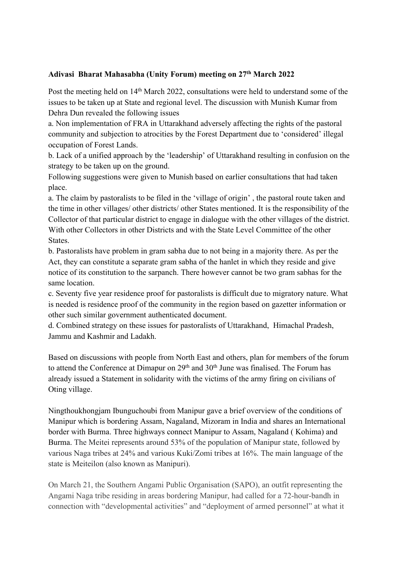### **Adivasi Bharat Mahasabha (Unity Forum) meeting on 27 th March 2022**

Post the meeting held on 14<sup>th</sup> March 2022, consultations were held to understand some of the issues to be taken up at State and regional level. The discussion with Munish Kumar from Dehra Dun revealed the following issues

a. Non implementation of FRA in Uttarakhand adversely affecting the rights of the pastoral community and subjection to atrocities by the Forest Department due to 'considered' illegal occupation of Forest Lands.

b. Lack of a unified approach by the 'leadership' of Uttarakhand resulting in confusion on the

strategy to be taken up on the ground.<br>Following suggestions were given to Munish based on earlier consultations that had taken place.

a. The claim by pastoralists to be filed in the 'village of origin' , the pastoral route taken and the time in other villages/ other districts/ other States mentioned. It is the responsibility of the Collector of that particular district to engage in dialogue with the other villages of the district. With other Collectors in other Districts and with the State Level Committee of the other States.

b. Pastoralists have problem in gram sabha due tonot being in a majority there. As per the Act, they can constitute a separate gram sabha of the hanlet in which they reside and give notice of its constitution to the sarpanch. There however cannot be two gram sabhas for the

same location.<br>c. Seventy five year residence proof for pastoralists is difficult due to migratory nature. What is needed is residence proof of the community in the region based on gazetter information or other such similar government authenticated document.

d. Combined strategy on these issues for pastoralists of Uttarakhand, Himachal Pradesh, Jammu and Kashmir and Ladakh.

Based on discussions with people from North East and others, plan for members of the forum to attend the Conference at Dimapur on 29<sup>th</sup> and 30<sup>th</sup> June was finalised. The Forum has already issued a Statement in solidarity with the victims of the army firing on civilians of Oting village.

Ningthoukhongjam Ibunguchoubi from Manipur gave a brief overview of the conditions of Manipur which is bordering Assam, Nagaland, Mizoram in India and shares an International border with Burma. Three highways connect Manipur to Assam, Nagaland ( Kohima) and Burma. The Meitei represents around 53% of the population of Manipur state, followed by various Naga tribes at 24% and various Kuki/Zomi tribes at 16%. The main language of the state is Meiteilon (also known as Manipuri).

On March 21, the Southern Angami Public Organisation (SAPO), an outfit representing the Angami Naga tribe residing in areas bordering Manipur, had called for a 72-hour-bandh in connection with "developmental activities" and "deployment of armed personnel" at what it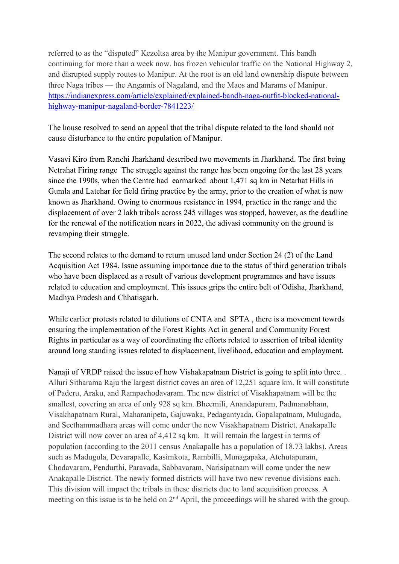referred to as the "disputed" Kezoltsa area by the Manipur government. This bandh continuing for more than a week now. has frozen vehicular traffic on the National Highway 2, and disrupted supply routes to Manipur. At the root is an old land ownership dispute between three Naga tribes — the Angamis of Nagaland, and the Maos and Marams of Manipur. [https://indianexpress.com/article/explained/explained-bandh-naga-outfit-blocked-national](https://indianexpress.com/article/explained/explained-bandh-naga-outfit-blocked-national-highway-manipur-nagaland-border-7841223/) highway-manipur-nagaland-border-7841223/

The house resolved to send an appeal that the tribal dispute related to the land should not cause disturbance to the entire population of Manipur.

Vasavi Kiro from Ranchi Jharkhand described two movements in Jharkhand. The first being Netrahat Firing range The struggle against the range has been ongoing for the last 28 years since the 1990s, when the Centre had [earmarked](https://timesofindia.indiatimes.com/city/ranchi/tribals-on-warpath-protest-against-netarhat-firing-range/articleshow/58522649.cms) about 1,471 sq km in [Netarhat](http://www.allowcopy.com/open/?url=https:\/\/timesofindia.indiatimes.com\/topic\/Netarhat-Hills-in-Gumla-and-Latehar) Hills in Gumla and Latehar for field firing [practice](http://www.allowcopy.com/open/?url=https:\/\/timesofindia.indiatimes.com\/topic\/field-firing-practice) by the army, prior to the creation of what is now known as Jharkhand. Owing to enormous resistance in 1994, practice in the range and the displacement of over 2 lakh tribals across 245 villages was stopped, however, as the deadline for the renewal of the notification nears in 2022, the adivasi community on the ground is revamping their struggle.

The second relates to the demand to return unused land under Section 24 (2) of the Land Acquisition Act 1984. Issue assuming importance due to the status of third generation tribals who have been displaced as a result of various development programmes and have issues related to education and employment. This issues grips the entire belt of Odisha, Jharkhand, Madhya Pradesh and Chhatisgarh.

While earlier protests related to dilutions of CNTA and SPTA, there is a movement towrds ensuring the implementation of the Forest Rights Act in general and Community Forest Rights in particular as a way of coordinating the efforts related to assertion of tribal identity around long standing issues related to displacement, livelihood, education and employment.

Nanaji of VRDP raised the issue of how Vishakapatnam District is going to split into three... Alluri Sitharama Raju the largest district coves an area of 12,251 square km. It will constitute of Paderu, Araku, and Rampachodavaram. The new district of Visakhapatnam will be the smallest, covering an area of only 928 sq km. Bheemili, Anandapuram, Padmanabham, Visakhapatnam Rural, Maharanipeta, Gajuwaka, Pedagantyada, Gopalapatnam, Mulugada, and Seethammadhara areas will come under the new Visakhapatnam District. Anakapalle District will now cover an area of 4,412 sq km. It will remain the largest in terms of population (according to the 2011 census Anakapalle has a population of 18.73 lakhs). Areas such as Madugula, Devarapalle, Kasimkota, Rambilli, Munagapaka, Atchutapuram, Chodavaram, Pendurthi, Paravada, Sabbavaram, Narisipatnam will come under the new Anakapalle District. The newly formed districts will have two new revenue divisions each. This division will impact the tribals in these districts due to land acquisition process. A meeting on this issue is to be held on 2<sup>nd</sup> April, the proceedings will be shared with the group.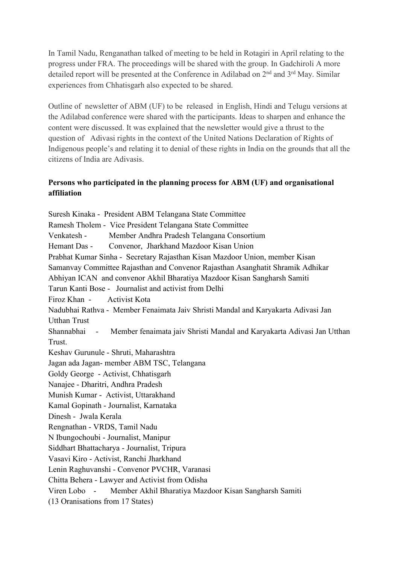In Tamil Nadu, Renganathan talked of meeting to be held in Rotagiri in April relating to the progress under FRA. The proceedings will be shared with the group. In Gadchiroli A more detailed report will be presented at the Conference in Adilabad on 2<sup>nd</sup> and 3<sup>rd</sup> May. Similar experiences from Chhatisgarh also expected to be shared.

Outline of newsletter of ABM (UF) to be released in English, Hindi and Telugu versions at the Adilabad conference were shared with the participants. Ideas to sharpen and enhance the content were discussed. It was explained that the newsletter would give a thrust to the question of Adivasi rights in the context of the United Nations Declaration of Rights of Indigenous people's and relating it to denial of these rights in India on the grounds that all the citizens of India are Adivasis.

## **Persons who participated in the planning process for ABM (UF) and organisational affiliation**

Suresh Kinaka - President ABM Telangana State Committee Ramesh Tholem - Vice President Telangana State Committee Venkatesh - Member Andhra Pradesh Telangana Consortium Hemant Das - Convenor, Jharkhand Mazdoor Kisan Union Prabhat Kumar Sinha - Secretary Rajasthan Kisan Mazdoor Union, member Kisan Samanvay Committee Rajasthan and Convenor Rajasthan Asanghatit Shramik Adhikar Abhiyan ICAN and convenor AkhilBharatiya Mazdoor Kisan Sangharsh Samiti Tarun Kanti Bose - Journalist and activist from Delhi Firoz Khan - Activist Kota Nadubhai Rathva - Member Fenaimata Jaiv Shristi Mandal and Karyakarta Adivasi Jan Utthan Trust Shannabhai - Member fenaimata jaiv Shristi Mandal and Karyakarta Adivasi Jan Utthan Trust. Keshav Gurunule - Shruti, Maharashtra Jagan ada Jagan- member ABM TSC, Telangana Goldy George - Activist, Chhatisgarh Nanajee - Dharitri, Andhra Pradesh Munish Kumar - Activist, Uttarakhand Kamal Gopinath - Journalist, Karnataka Dinesh - Jwala Kerala Rengnathan - VRDS, Tamil Nadu N Ibungochoubi - Journalist, Manipur Siddhart Bhattacharya - Journalist, Tripura Vasavi Kiro - Activist, Ranchi Jharkhand Lenin Raghuvanshi - Convenor PVCHR, Varanasi Chitta Behera - Lawyer and Activist from Odisha Viren Lobo - Member Akhil Bharatiya Mazdoor Kisan Sangharsh Samiti (13 Oranisations from 17 States)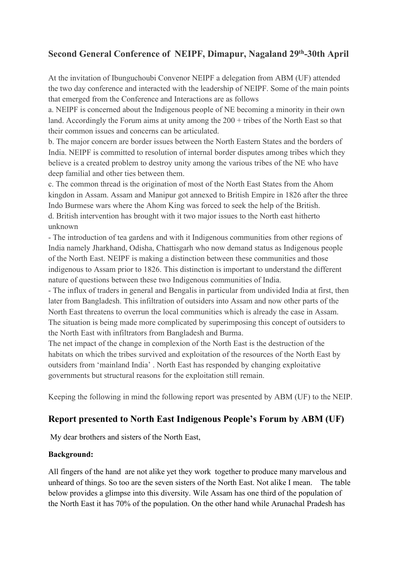# **Second General Conference of NEIPF, Dimapur, Nagaland 29 th -30th April**

At the invitation of Ibunguchoubi Convenor NEIPF a delegation from ABM (UF) attended the two day conference and interacted with the leadership of NEIPF. Some of the main points that emerged from the Conference and Interactions are as follows

a. NEIPF is concerned about the Indigenous people of NE becoming a minority in their own land. Accordingly the Forum aims at unity among the  $200 +$  tribes of the North East so that their common issues and concerns can be articulated.

b. The major concern are border issues between the North Eastern States and the borders of India. NEIPF is committed to resolution of internal border disputes among tribes which they believe is a created problem to destroy unity among the various tribes of the NE who have deep familial and other ties between them.

c. The common thread is the origination of most of the North East States from the Ahom kingdon in Assam. Assam and Manipur got annexed to British Empire in 1826 after the three Indo Burmese wars where the Ahom King was forced to seek the help of the British. d. British intervention has brought with it two major issues to the North east hitherto unknown

- The introduction of tea gardens and with it Indigenous communities from other regions of India namely Jharkhand, Odisha, Chattisgarh who now demand status as Indigenous people of the North East. NEIPF is making a distinction between these communities and those indigenous to Assam prior to 1826. This distinction is important to understand the different nature of questions between these two Indigenous communities of India.

- The influx of traders in general and Bengalis in particular from undivided India at first, then later from Bangladesh. This infiltration of outsiders into Assam and now other parts of the North East threatens to overrun the local communities which is already the case in Assam. The situation is being made more complicated by superimposing this concept of outsiders to the North East with infiltrators from Bangladesh and Burma.

The net impact of the change in complexion of the North East is the destruction of the habitats on which the tribes survived and exploitation of the resources of the North East by outsiders from 'mainland India' . North East has responded by changing exploitative governments but structural reasons for the exploitation still remain.

Keeping the following in mind the following report was presented by ABM (UF) to the NEIP.

## **Report** presented to North East Indigenous People's Forum by ABM (UF)

My dear brothers and sisters of the North East,

### **Background:**

All fingers of the hand are not alike yet they work together to produce many marvelous and unheard of things. So too are the seven sisters of the North East. Not alike I mean. The table below provides a glimpse into this diversity. Wile Assam has one third of the population of the North East it has 70% of the population. On the other hand while Arunachal Pradesh has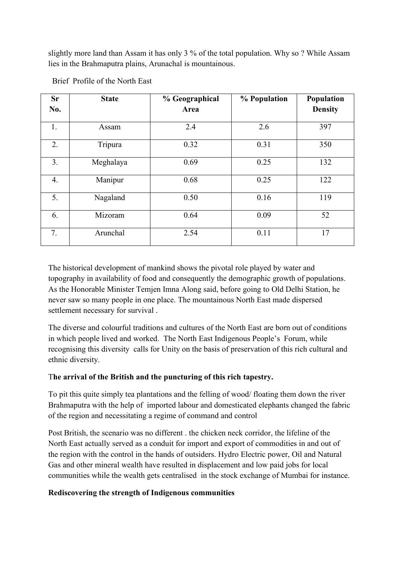slightly more land than Assam it has only 3 % of the total population. Why so ? While Assam lies in the Brahmaputra plains, Arunachal is mountainous.

| <b>Sr</b><br>No. | <b>State</b> | % Geographical<br>Area | % Population | Population<br><b>Density</b> |
|------------------|--------------|------------------------|--------------|------------------------------|
| 1.               | Assam        | 2.4                    | 2.6          | 397                          |
| 2.               | Tripura      | 0.32                   | 0.31         | 350                          |
| 3.               | Meghalaya    | 0.69                   | 0.25         | 132                          |
| 4.               | Manipur      | 0.68                   | 0.25         | 122                          |
| 5.               | Nagaland     | 0.50                   | 0.16         | 119                          |
| 6.               | Mizoram      | 0.64                   | 0.09         | 52                           |
| 7.               | Arunchal     | 2.54                   | 0.11         | 17                           |

### Brief Profile of the North East

The historical development of mankind shows the pivotal role played by water and topography in availability of food and consequently the demographic growth of populations. As the Honorable Minister Temjen Imna Along said, before going to Old Delhi Station, he never saw so many people in one place. The mountainous North East made dispersed settlement necessary for survival .<br>The diverse and colourful traditions and cultures of the North East are born out of conditions

in which people lived and worked. The North East Indigenous People's Forum, while recognising this diversity calls for Unity on the basis of preservation of this rich cultural and ethnic diversity.

### T**he arrival of the British and the puncturing of this rich tapestry.**

To pit this quite simply tea plantations and the felling of wood/ floating them down the river Brahmaputra with the help of imported labour and domesticated elephants changed the fabric of the region and necessitating a regime of command and control

Post British, the scenario was no different . the chicken neck corridor, the lifeline of the North East actually served as a conduit for import and export of commodities in and out of the region with the control in the hands of outsiders. Hydro Electric power, Oil and Natural Gas and other mineral wealth have resulted in displacement and low paid jobs for local communities while the wealth gets centralised in the stock exchange of Mumbai for instance.

### **Rediscovering the strength of Indigenous communities**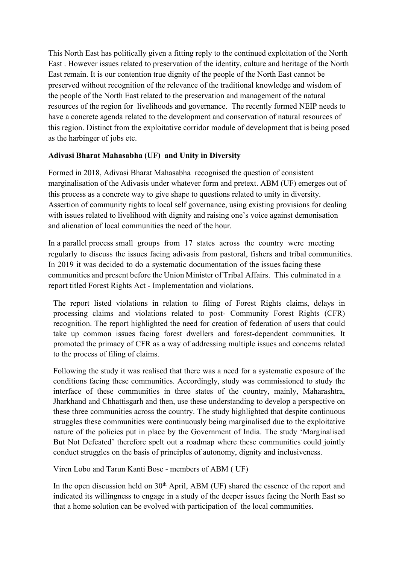This North East has politically given a fitting reply to the continued exploitation of the North East .However issues related to preservation of the identity, culture and heritage of the North East remain. It is our contention true dignity of the people of the North East cannot be preserved without recognition of the relevance of the traditional knowledge and wisdom of the people of the North East related to the preservation and management of the natural resources of the region for livelihoods and governance. The recently formed NEIP needs to have a concrete agenda related to the development and conservation of natural resources of this region. Distinct from the exploitative corridor module of development that is being posed as the harbinger of jobs etc.

### **Adivasi Bharat Mahasabha (UF) and Unity in Diversity**

Formed in 2018, Adivasi Bharat Mahasabha recognised the question of consistent marginalisation of the Adivasis under whatever form and pretext. ABM (UF) emerges out of this process as a concrete way to give shape to questions related to unity in diversity. Assertion of community rights to local self governance, using existing provisions for dealing with issues related to livelihood with dignity and raising one's voice against demonisation and alienation of local communities the need of the hour.

In a parallel process small groups from 17 states across the country were meeting regularly to discuss the issues facing adivasis from pastoral, fishers and tribal communities. In 2019 it was decided to do a systematic documentation of the issues facing these communities and present before the Union Minister of Tribal Affairs. This culminated in a report titled Forest Rights Act - Implementation and violations.

The report listed violations in relation to filing of Forest Rights claims, delays in processing claims and violations related to post- Community Forest Rights (CFR) recognition. The report highlighted the need for creation of federation of users that could take up common issues facing forest dwellers and forest-dependent communities. It promoted the primacy of CFR as a way of addressing multiple issues and concerns related to the process of filing of claims.

Following the study it was realised that there was a need for a systematic exposure of the conditions facing these communities. Accordingly, study was commissioned to study the interface of these communities in three states of the country, mainly, Maharashtra, Jharkhand and Chhattisgarh and then, use these understanding to develop a perspective on these three communities across the country. The study highlighted that despite continuous struggles these communities were continuously being marginalised due to the exploitative nature of the policies put in place by the Government of India. The study 'Marginalised But Not Defeated' therefore spelt out a roadmap where these communities could jointly conduct struggles on the basis of principles of autonomy, dignity and inclusiveness.

Viren Lobo and Tarun Kanti Bose - members of ABM ( UF)

In the open discussion held on 30<sup>th</sup> April, ABM (UF) shared the essence of the report and indicated its willingness to engage in a study of the deeper issues facing the North East so that a home solution can be evolved with participation of the local communities.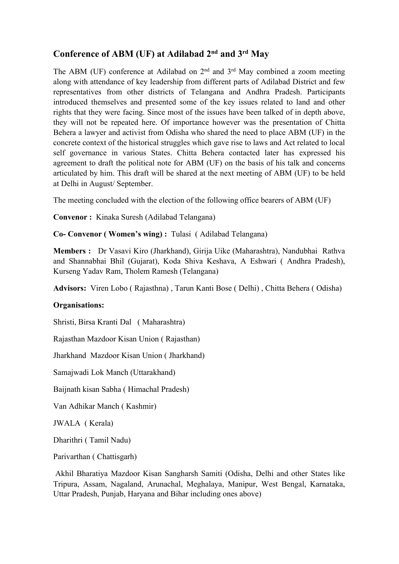## **Conference of ABM (UF) at Adilabad 2 nd and 3 rd May**

The ABM (UF) conference at Adilabad on  $2<sup>nd</sup>$  and  $3<sup>rd</sup>$  May combined a zoom meeting along with attendance of key leadership from different parts of Adilabad District and few representatives from other districts of Telangana and Andhra Pradesh. Participants introduced themselves and presented some of the key issues related to land and other rights that they were facing. Since most of the issues have been talked of in depth above, they will not be repeated here. Of importance however was the presentation of Chitta Behera a lawyer and activist from Odisha who shared the need to place ABM (UF) in the concrete context of the historical struggles which gave rise to laws and Act related to local self governance in various States. Chitta Behera contacted later has expressed his agreement to draft the political note for ABM (UF) on the basis of his talk and concerns articulated by him. This draft will be shared at the next meeting of ABM (UF) to be held at Delhi in August/ September.

The meeting concluded with the election of the following office bearers of ABM (UF)

**Convenor :** Kinaka Suresh (Adilabad Telangana)

**Co- Convenor ( Women's wing) :** Tulasi ( Adilabad Telangana)

**Members :** Dr Vasavi Kiro (Jharkhand), Girija Uike (Maharashtra), Nandubhai Rathva and Shannabhai Bhil (Gujarat), Koda Shiva Keshava, A Eshwari ( Andhra Pradesh), Kurseng Yadav Ram, Tholem Ramesh (Telangana)

**Advisors:** Viren Lobo ( Rajasthna) , Tarun Kanti Bose ( Delhi) , Chitta Behera ( Odisha)

#### **Organisations:**

Shristi, Birsa Kranti Dal ( Maharashtra)

Rajasthan Mazdoor Kisan Union ( Rajasthan)

Jharkhand Mazdoor Kisan Union ( Jharkhand)

Samajwadi Lok Manch (Uttarakhand)

Baijnath kisan Sabha ( Himachal Pradesh)

Van Adhikar Manch ( Kashmir)

JWALA ( Kerala)

Dharithri ( Tamil Nadu)

Parivarthan ( Chattisgarh)

Akhil Bharatiya Mazdoor Kisan Sangharsh Samiti (Odisha, Delhi and other States like Tripura, Assam, Nagaland, Arunachal, Meghalaya, Manipur, West Bengal, Karnataka, Uttar Pradesh, Punjab, Haryana and Bihar including ones above)